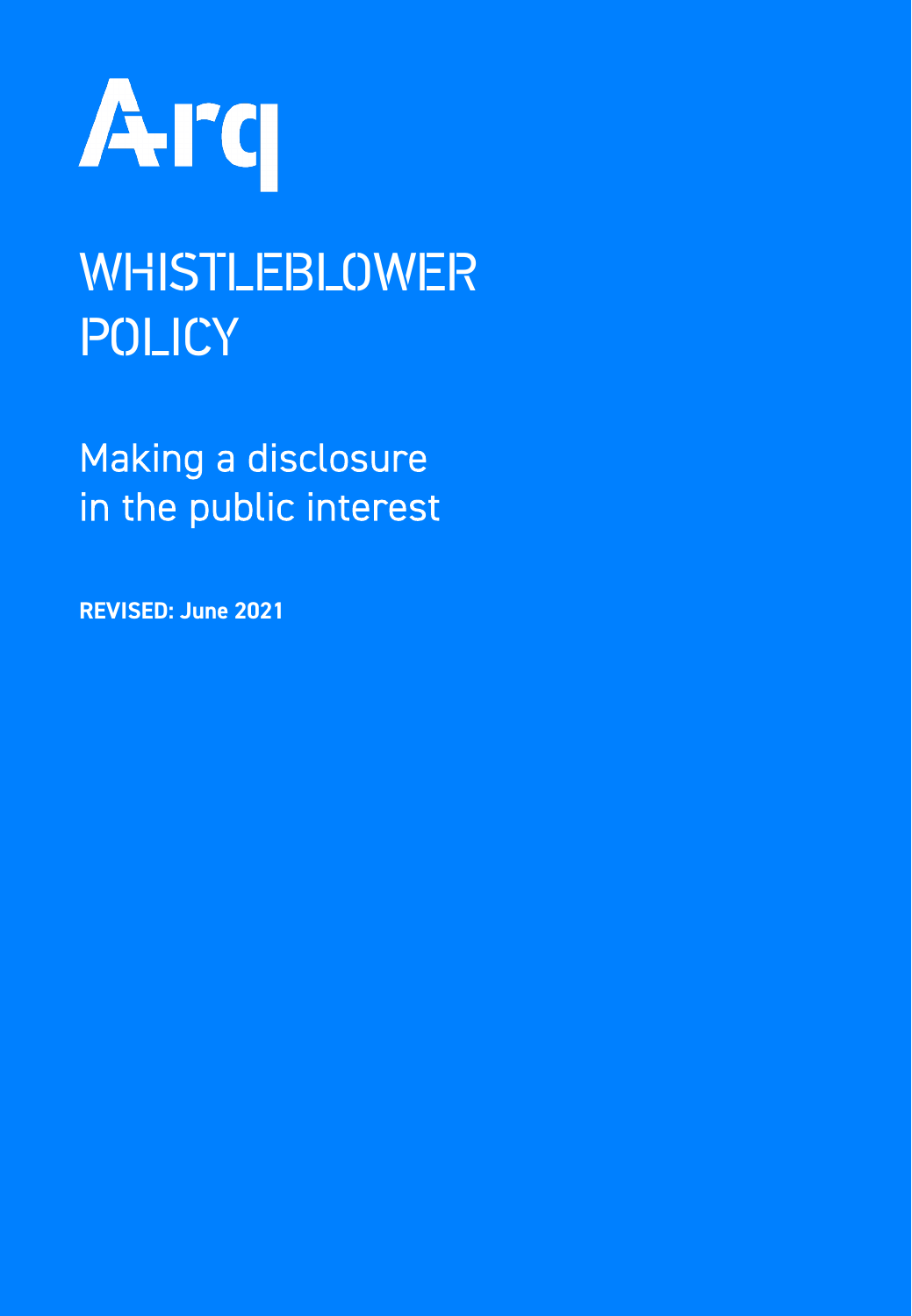

# WHISTLEBLOWER POLICY

Making a disclosure in the public interest

REVISED: June 2021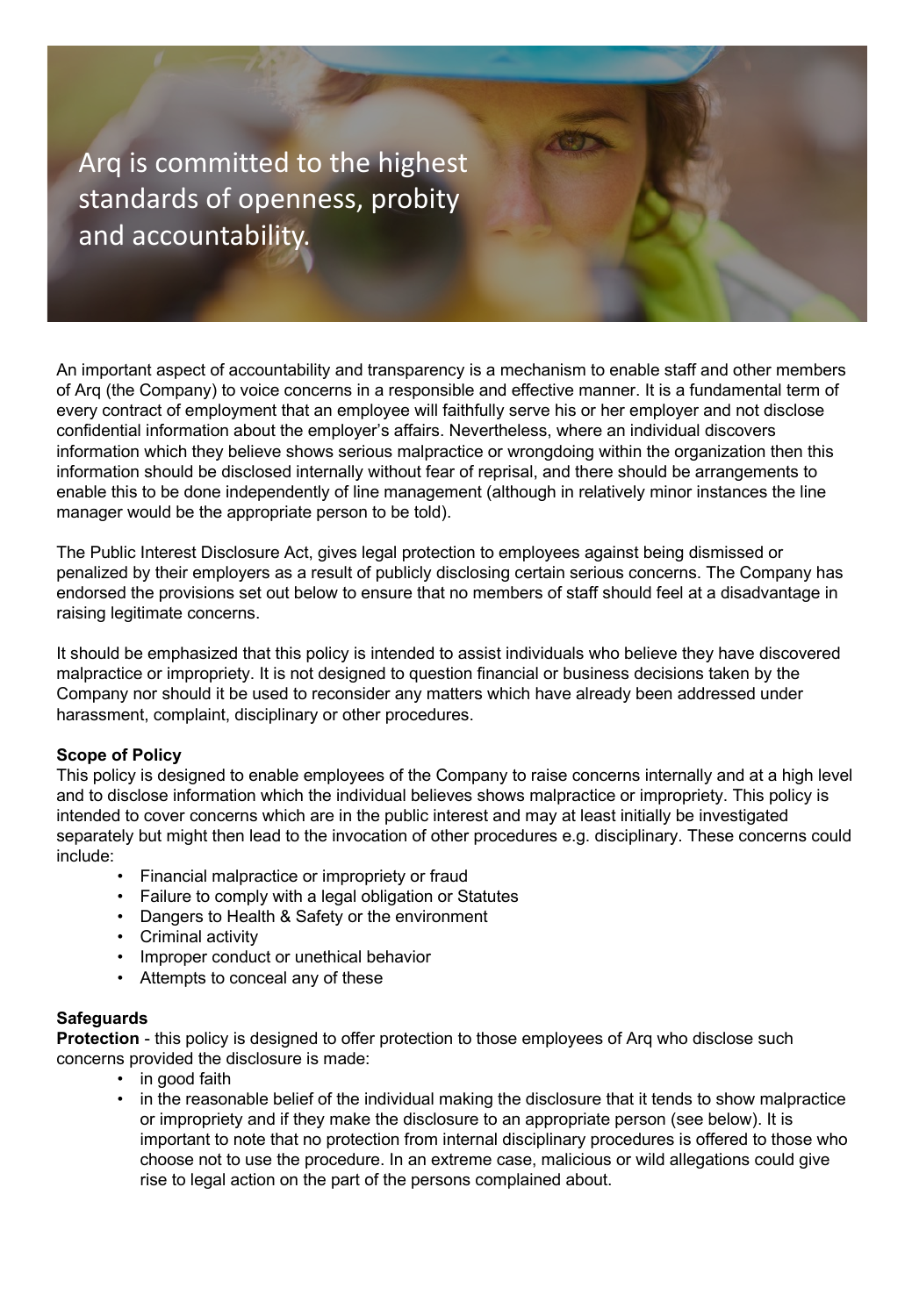Arq is committed to the highest standards of openness, probity and accountability.

An important aspect of accountability and transparency is a mechanism to enable staff and other members of Arq (the Company) to voice concerns in a responsible and effective manner. It is a fundamental term of every contract of employment that an employee will faithfully serve his or her employer and not disclose confidential information about the employer's affairs. Nevertheless, where an individual discovers information which they believe shows serious malpractice or wrongdoing within the organization then this information should be disclosed internally without fear of reprisal, and there should be arrangements to enable this to be done independently of line management (although in relatively minor instances the line manager would be the appropriate person to be told).

The Public Interest Disclosure Act, gives legal protection to employees against being dismissed or penalized by their employers as a result of publicly disclosing certain serious concerns. The Company has endorsed the provisions set out below to ensure that no members of staff should feel at a disadvantage in raising legitimate concerns.

It should be emphasized that this policy is intended to assist individuals who believe they have discovered malpractice or impropriety. It is not designed to question financial or business decisions taken by the Company nor should it be used to reconsider any matters which have already been addressed under harassment, complaint, disciplinary or other procedures.

### **Scope of Policy**

This policy is designed to enable employees of the Company to raise concerns internally and at a high level and to disclose information which the individual believes shows malpractice or impropriety. This policy is intended to cover concerns which are in the public interest and may at least initially be investigated separately but might then lead to the invocation of other procedures e.g. disciplinary. These concerns could include:

- Financial malpractice or impropriety or fraud
- Failure to comply with a legal obligation or Statutes
- Dangers to Health & Safety or the environment
- Criminal activity
- Improper conduct or unethical behavior
- Attempts to conceal any of these

### **Safeguards**

**Protection** - this policy is designed to offer protection to those employees of Arq who disclose such concerns provided the disclosure is made:

- in good faith
- in the reasonable belief of the individual making the disclosure that it tends to show malpractice or impropriety and if they make the disclosure to an appropriate person (see below). It is important to note that no protection from internal disciplinary procedures is offered to those who choose not to use the procedure. In an extreme case, malicious or wild allegations could give rise to legal action on the part of the persons complained about.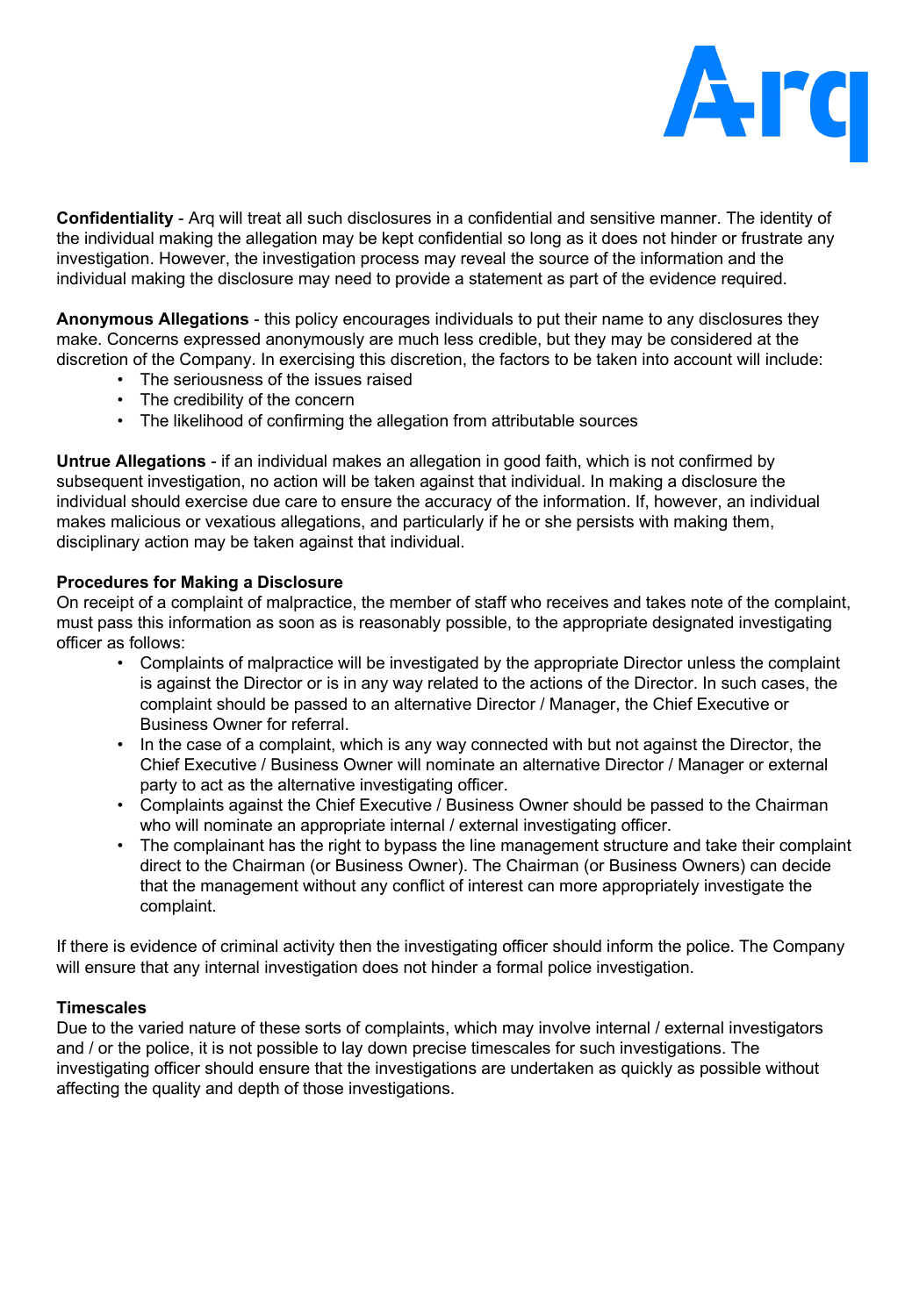

**Confidentiality** - Arq will treat all such disclosures in a confidential and sensitive manner. The identity of the individual making the allegation may be kept confidential so long as it does not hinder or frustrate any investigation. However, the investigation process may reveal the source of the information and the individual making the disclosure may need to provide a statement as part of the evidence required.

**Anonymous Allegations** - this policy encourages individuals to put their name to any disclosures they make. Concerns expressed anonymously are much less credible, but they may be considered at the discretion of the Company. In exercising this discretion, the factors to be taken into account will include:

- The seriousness of the issues raised
- The credibility of the concern
- The likelihood of confirming the allegation from attributable sources

**Untrue Allegations** - if an individual makes an allegation in good faith, which is not confirmed by subsequent investigation, no action will be taken against that individual. In making a disclosure the individual should exercise due care to ensure the accuracy of the information. If, however, an individual makes malicious or vexatious allegations, and particularly if he or she persists with making them, disciplinary action may be taken against that individual.

### **Procedures for Making a Disclosure**

On receipt of a complaint of malpractice, the member of staff who receives and takes note of the complaint, must pass this information as soon as is reasonably possible, to the appropriate designated investigating officer as follows:

- Complaints of malpractice will be investigated by the appropriate Director unless the complaint is against the Director or is in any way related to the actions of the Director. In such cases, the complaint should be passed to an alternative Director / Manager, the Chief Executive or Business Owner for referral.
- In the case of a complaint, which is any way connected with but not against the Director, the Chief Executive / Business Owner will nominate an alternative Director / Manager or external party to act as the alternative investigating officer.
- Complaints against the Chief Executive / Business Owner should be passed to the Chairman who will nominate an appropriate internal / external investigating officer.
- The complainant has the right to bypass the line management structure and take their complaint direct to the Chairman (or Business Owner). The Chairman (or Business Owners) can decide that the management without any conflict of interest can more appropriately investigate the complaint.

If there is evidence of criminal activity then the investigating officer should inform the police. The Company will ensure that any internal investigation does not hinder a formal police investigation.

### **Timescales**

Due to the varied nature of these sorts of complaints, which may involve internal / external investigators and / or the police, it is not possible to lay down precise timescales for such investigations. The investigating officer should ensure that the investigations are undertaken as quickly as possible without affecting the quality and depth of those investigations.